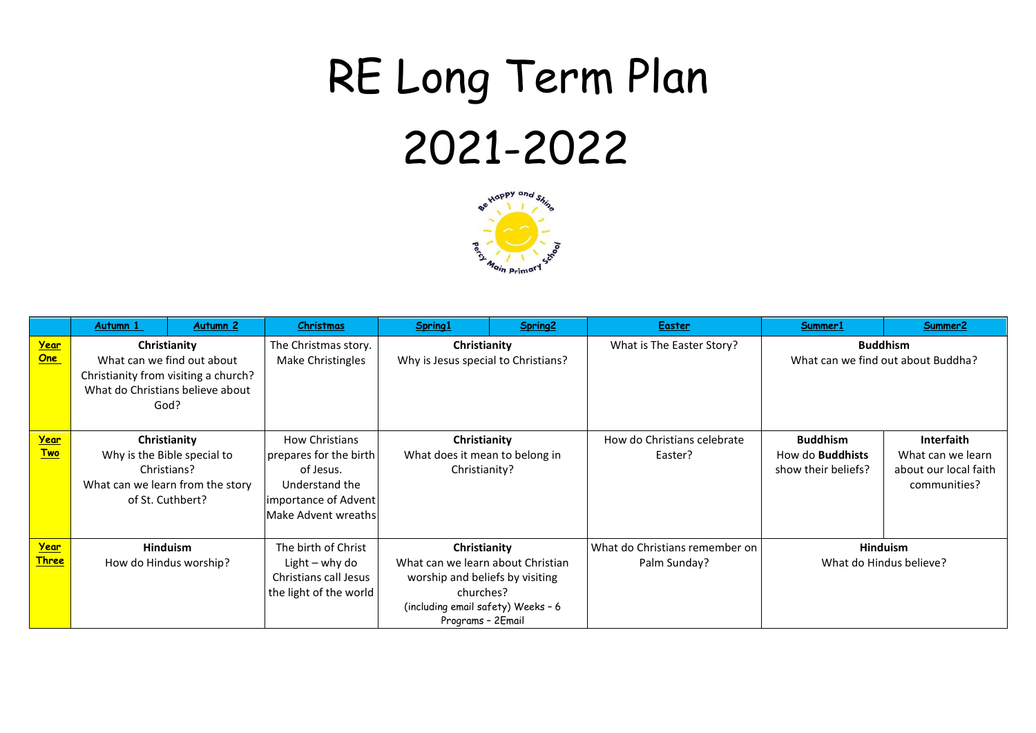## RE Long Term Plan 2021-2022



|                             | Autumn 1                                                                                                                       | Autumn <sub>2</sub>                                                             | Christmas                                                                                                                     | Spring1                                                                                                                                                      | Spring2 | <b>Easter</b>                                  | Summer1                                                           | Summer2                                                                  |
|-----------------------------|--------------------------------------------------------------------------------------------------------------------------------|---------------------------------------------------------------------------------|-------------------------------------------------------------------------------------------------------------------------------|--------------------------------------------------------------------------------------------------------------------------------------------------------------|---------|------------------------------------------------|-------------------------------------------------------------------|--------------------------------------------------------------------------|
| Year<br>One                 | Christianity<br>What can we find out about<br>Christianity from visiting a church?<br>What do Christians believe about<br>God? |                                                                                 | The Christmas story.<br>Make Christingles                                                                                     | Christianity<br>Why is Jesus special to Christians?                                                                                                          |         | What is The Easter Story?                      |                                                                   | <b>Buddhism</b><br>What can we find out about Buddha?                    |
| Year<br><u>Two</u>          | Christians?<br>of St. Cuthbert?                                                                                                | Christianity<br>Why is the Bible special to<br>What can we learn from the story | <b>How Christians</b><br>prepares for the birth<br>of Jesus.<br>Understand the<br>importance of Advent<br>Make Advent wreaths | Christianity<br>What does it mean to belong in<br>Christianity?                                                                                              |         | How do Christians celebrate<br>Easter?         | <b>Buddhism</b><br>How do <b>Buddhists</b><br>show their beliefs? | Interfaith<br>What can we learn<br>about our local faith<br>communities? |
| <u>Year</u><br><b>Three</b> | How do Hindus worship?                                                                                                         | <b>Hinduism</b>                                                                 | The birth of Christ<br>Light $-$ why do<br>Christians call Jesus<br>the light of the world                                    | Christianity<br>What can we learn about Christian<br>worship and beliefs by visiting<br>churches?<br>(including email safety) Weeks - 6<br>Programs - 2Email |         | What do Christians remember on<br>Palm Sunday? | Hinduism<br>What do Hindus believe?                               |                                                                          |